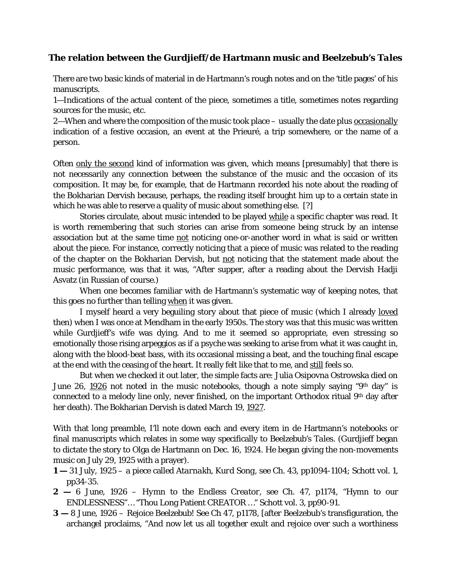## **The relation between the Gurdjieff/de Hartmann music and** *Beelzebub's Tales*

There are two basic kinds of material in de Hartmann's rough notes and on the 'title pages' of his manuscripts.

1—Indications of the actual content of the piece, sometimes a title, sometimes notes regarding sources for the music, etc.

2—When and where the composition of the music took place – usually the date plus occasionally indication of a festive occasion, an event at the Prieuré, a trip somewhere, or the name of a person.

Often only the second kind of information was given, which means [presumably] that there is not necessarily any connection between the substance of the music and the occasion of its composition. It may be, for example, that de Hartmann recorded his note about the reading of the Bokharian Dervish because, perhaps, the reading itself brought him up to a certain state in which he was able to reserve a quality of music about something else. [?]

Stories circulate, about music intended to be played while a specific chapter was read. It is worth remembering that such stories can arise from someone being struck by an intense association but at the same time not noticing one-or-another word in what is said or written about the piece. For instance, correctly noticing that a piece of music was related to the reading of the chapter on the Bokharian Dervish, but not noticing that the statement made about the music performance, was that it was, "After supper, after a reading about the Dervish Hadji Asvatz (in Russian of course.)

When one becomes familiar with de Hartmann's systematic way of keeping notes, that this goes no further than telling when it was given.

I myself heard a very beguiling story about that piece of music (which I already loved then) when I was once at Mendham in the early 1950s. The story was that this music was written while Gurdjieff's wife was dying. And to me it seemed so appropriate, even stressing so emotionally those rising arpeggios as if a psyche was seeking to arise from what it was caught in, along with the blood-beat bass, with its occasional missing a beat, and the touching final escape at the end with the ceasing of the heart. It really felt like that to me, and still feels so.

But when we checked it out later, the simple facts are: Julia Osipovna Ostrowska died on June 26, 1926 not noted in the music notebooks, though a note simply saying "9th day" is connected to a melody line only, never finished, on the important Orthodox ritual 9<sup>th</sup> day after her death). The Bokharian Dervish is dated March 19, 1927.

With that long preamble, I'll note down each and every item in de Hartmann's notebooks or final manuscripts which relates in some way specifically to *Beelzebub's Tales*. (Gurdjieff began to dictate the story to Olga de Hartmann on Dec. 16, 1924. He began giving the non-movements music on July 29, 1925 with a prayer).

- **1 —** 31 July, 1925 a piece called *Atarnakh, Kurd Song*, see Ch. 43, pp1094-1104; Schott vol. 1, pp34-35.
- **2 —** 6 June, 1926 *Hymn to the Endless Creator*, see Ch. 47, p1174, "Hymn to our ENDLESSNESS"… "Thou Long Patient CREATOR …" Schott vol. 3, pp90-91.
- **3 —** 8 June, 1926 *Rejoice Beelzebub!* See Ch 47, p1178, [after Beelzebub's transfiguration, the archangel proclaims, "And now let us all together exult and rejoice over such a worthiness